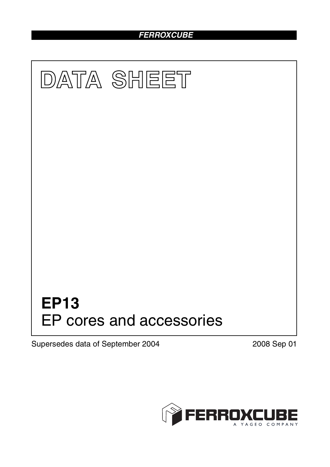# *FERROXCUBE*



Supersedes data of September 2004 2008 Sep 01

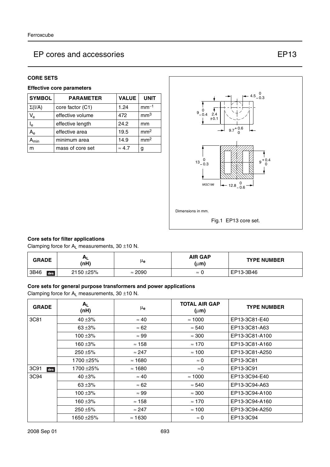#### **CORE SETS**

#### **Effective core parameters**

| <b>SYMBOL</b>             | <b>PARAMETER</b> | <b>VALUE</b>  | <b>UNIT</b>     |
|---------------------------|------------------|---------------|-----------------|
| $\Sigma(I/A)$             | core factor (C1) | 1.24          | $mm-1$          |
| $V_{\rm e}$               | effective volume | 472           | mm <sup>3</sup> |
| $\mathsf{l}_{\mathsf{e}}$ | effective length | 24.2          | mm              |
| $A_{e}$                   | effective area   | 19.5          | mm <sup>2</sup> |
| <b>\</b> min              | minimum area     | 14.9          | mm <sup>2</sup> |
| m                         | mass of core set | $\approx 4.7$ | g               |



#### **Core sets for filter applications**

Clamping force for  $A_L$  measurements, 30  $\pm$ 10 N.

| <b>GRADE</b> | п.<br>(nH)   | μe             | <b>AIR GAP</b><br>(µm) | <b>TYPE NUMBER</b> |
|--------------|--------------|----------------|------------------------|--------------------|
| 3B46<br>des  | $2150 + 25%$ | $\approx 2090$ | $\approx$              | EP13-3B46          |

#### **Core sets for general purpose transformers and power applications**

Clamping force for  $A_L$  measurements, 30  $\pm$ 10 N.

| <b>GRADE</b> | $A_L$<br>(nH) | μe             | <b>TOTAL AIR GAP</b><br>$(\mu m)$ | <b>TYPE NUMBER</b> |
|--------------|---------------|----------------|-----------------------------------|--------------------|
| 3C81         | 40 $\pm$ 3%   | $\approx 40$   | $\approx 1000$                    | EP13-3C81-E40      |
|              | $63 + 3%$     | $\approx 62$   | $\approx 540$                     | EP13-3C81-A63      |
|              | 100 $\pm$ 3%  | $\approx 99$   | $\approx 300$                     | EP13-3C81-A100     |
|              | 160 ±3%       | $\approx$ 158  | $\approx 170$                     | EP13-3C81-A160     |
|              | $250 + 5%$    | $\approx$ 247  | $\approx$ 100                     | EP13-3C81-A250     |
|              | 1700 ±25%     | $\approx$ 1680 | $\approx 0$                       | EP13-3C81          |
| 3C91<br>des  | 1700 ±25%     | $\approx$ 1680 | $\approx$ 0                       | EP13-3C91          |
| 3C94         | 40 $\pm$ 3%   | $\approx 40$   | $\approx 1000$                    | EP13-3C94-E40      |
|              | $63 + 3%$     | $\approx 62$   | $\approx 540$                     | EP13-3C94-A63      |
|              | 100 $\pm$ 3%  | $\approx 99$   | $\approx 300$                     | EP13-3C94-A100     |
|              | 160 ±3%       | $\approx$ 158  | $\approx 170$                     | EP13-3C94-A160     |
|              | $250 + 5%$    | $\approx$ 247  | $\approx$ 100                     | EP13-3C94-A250     |
|              | 1650 ±25%     | $\approx$ 1630 | $\approx 0$                       | EP13-3C94          |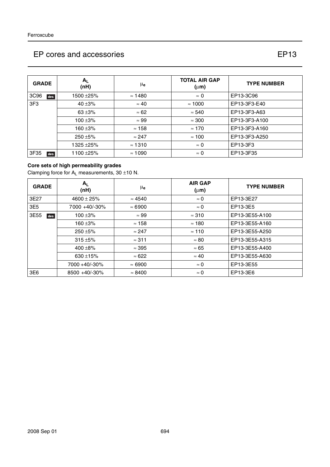| <b>GRADE</b> | $A_{L}$<br>(nH) | μe             | <b>TOTAL AIR GAP</b><br>$(\mu m)$ | <b>TYPE NUMBER</b> |
|--------------|-----------------|----------------|-----------------------------------|--------------------|
| 3C96<br>des  | 1500 ±25%       | $\approx$ 1480 | $\approx 0$                       | EP13-3C96          |
| 3F3          | 40 $\pm$ 3%     | $\approx 40$   | $\approx 1000$                    | EP13-3F3-E40       |
|              | $63 + 3%$       | $\approx 62$   | $\approx 540$                     | EP13-3F3-A63       |
|              | $100 + 3%$      | $\approx 99$   | $\approx 300$                     | EP13-3F3-A100      |
|              | $160 + 3%$      | $\approx$ 158  | $\approx 170$                     | EP13-3F3-A160      |
|              | $250 + 5%$      | $\approx$ 247  | $\approx$ 100                     | EP13-3F3-A250      |
|              | 1325 ± 25%      | $\approx$ 1310 | $\approx 0$                       | EP13-3F3           |
| 3F35<br>des  | 1100 ± 25%      | $\approx 1090$ | $\approx 0$                       | EP13-3F35          |

#### **Core sets of high permeability grades**

Clamping force for  $A_L$  measurements, 30  $\pm$ 10 N.

| <b>GRADE</b> | A <sub>1</sub><br>(nH) | μ <sub>e</sub> | <b>AIR GAP</b><br>$(\mu m)$ | <b>TYPE NUMBER</b> |
|--------------|------------------------|----------------|-----------------------------|--------------------|
| 3E27         | $4600 \pm 25\%$        | $\approx 4540$ | $\approx 0$                 | EP13-3E27          |
| 3E5          | 7000 +40/-30%          | $\approx 6900$ | $\approx 0$                 | EP13-3E5           |
| 3E55<br>des  | $100 + 3%$             | $\approx 99$   | $\approx$ 310               | EP13-3E55-A100     |
|              | $160 + 3%$             | $\approx$ 158  | $\approx$ 180               | EP13-3E55-A160     |
|              | $250 + 5\%$            | $\approx$ 247  | $\approx$ 110               | EP13-3E55-A250     |
|              | $315 + 5%$             | $\approx$ 311  | $\approx 80$                | EP13-3E55-A315     |
|              | 400 $\pm$ 8%           | $\approx$ 395  | $\approx 65$                | EP13-3E55-A400     |
|              | 630 $\pm$ 15%          | $\approx 622$  | $\approx 40$                | EP13-3E55-A630     |
|              | 7000 +40/-30%          | $\approx 6900$ | $\approx 0$                 | EP13-3E55          |
| 3E6          | 8500 +40/-30%          | $\approx 8400$ | $\approx 0$                 | EP13-3E6           |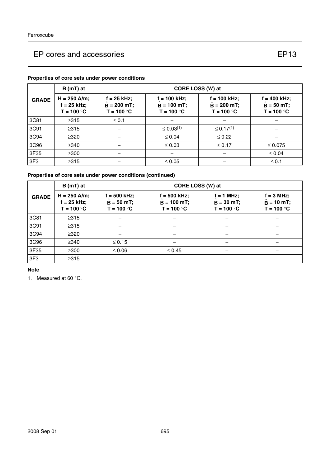#### **GRADE B** (mT) at  $\vert$  **CORE LOSS (W) at H = 250 A/m; f = 25 kHz; T = 100** °**C f = 25 kHz;**  $\hat{B} = 200 \text{ mT}; \quad \dot{B}$ **T = 100** °**C f = 100 kHz;**  $\hat{\mathbf{B}}$  = 100 mT;  $\qquad \begin{array}{|c} \hat{\mathbf{B}} \end{array}$ **T = 100** °**C f = 100 kHz;**  $\hat{\mathbf{B}} = 200 \text{ mT}; \quad | \quad \hat{\mathbf{B}}$ **T = 100** °**C f = 400 kHz; = 50 mT;** ˆ **T = 100** °**C** 3C81 ≥315 ≤ 0.1 −−− 3C91 ≥315 − ≤ 0.03(1) ≤ 0.17(1) − 3C94 ≥320 − ≤ 0.04 ≤ 0.22 − 3C96 ≥340 − ≤ 0.03 ≤ 0.17 ≤ 0.075 3F35 ≥300 − − − ≤ 0.04 3F3 │ ≥315 │ – │ ≤ 0.05 │ – │ ≤ 0.1

#### **Properties of core sets under power conditions**

#### **Properties of core sets under power conditions (continued)**

|                 | $B(mT)$ at                                      | CORE LOSS (W) at                               |                                                  |                                              |                                                    |
|-----------------|-------------------------------------------------|------------------------------------------------|--------------------------------------------------|----------------------------------------------|----------------------------------------------------|
| <b>GRADE</b>    | $H = 250$ A/m;<br>$f = 25$ kHz;<br>$T = 100 °C$ | $f = 500$ kHz;<br>$B = 50 mT;$<br>$T = 100 °C$ | $f = 500$ kHz;<br>$B = 100 mT$ ;<br>$T = 100 °C$ | $f = 1$ MHz;<br>$B = 30 mT;$<br>$T = 100 °C$ | $f = 3$ MHz;<br>$\hat{B} = 10$ mT;<br>$T = 100 °C$ |
| 3C81            | $\geq 315$                                      |                                                |                                                  |                                              |                                                    |
| 3C91            | $\geq 315$                                      |                                                |                                                  |                                              |                                                    |
| 3C94            | $\geq$ 320                                      |                                                |                                                  |                                              |                                                    |
| 3C96            | $\geq$ 340                                      | $\leq 0.15$                                    |                                                  |                                              |                                                    |
| 3F35            | $\geq$ 300                                      | $\leq 0.06$                                    | $\leq 0.45$                                      |                                              |                                                    |
| 3F <sub>3</sub> | $\geq$ 315                                      |                                                |                                                  |                                              |                                                    |

**Note**

1. Measured at 60 °C.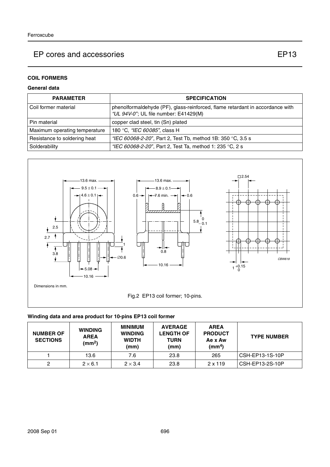### **COIL FORMERS**

#### **General data**

| <b>PARAMETER</b>              | <b>SPECIFICATION</b>                                                                                                   |
|-------------------------------|------------------------------------------------------------------------------------------------------------------------|
| l Coil former material        | phenolformaldehyde (PF), glass-reinforced, flame retardant in accordance with<br>"UL 94V-0"; UL file number: E41429(M) |
| l Pin material                | copper clad steel, tin (Sn) plated                                                                                     |
| Maximum operating temperature | 180 °C, <i>"IEC 60085"</i> , class H                                                                                   |
| Resistance to soldering heat  | "IEC 60068-2-20", Part 2, Test Tb, method 1B: 350 °C, 3.5 s                                                            |
| Solderability                 | "IEC 60068-2-20", Part 2, Test Ta, method 1: 235 °C, 2 s                                                               |



### **Winding data and area product for 10-pins EP13 coil former**

| <b>NUMBER OF</b><br><b>SECTIONS</b> | <b>WINDING</b><br><b>AREA</b><br>(mm <sup>2</sup> ) | <b>MINIMUM</b><br><b>WINDING</b><br><b>WIDTH</b><br>(mm) | <b>AVERAGE</b><br><b>LENGTH OF</b><br><b>TURN</b><br>(mm) | <b>AREA</b><br><b>PRODUCT</b><br>Ae x Aw<br>(mm <sup>4</sup> ) | <b>TYPE NUMBER</b> |
|-------------------------------------|-----------------------------------------------------|----------------------------------------------------------|-----------------------------------------------------------|----------------------------------------------------------------|--------------------|
|                                     | 13.6                                                | 7.6                                                      | 23.8                                                      | 265                                                            | CSH-EP13-1S-10P    |
|                                     | $2 \times 6.1$                                      | $2 \times 3.4$                                           | 23.8                                                      | $2 \times 119$                                                 | CSH-EP13-2S-10P    |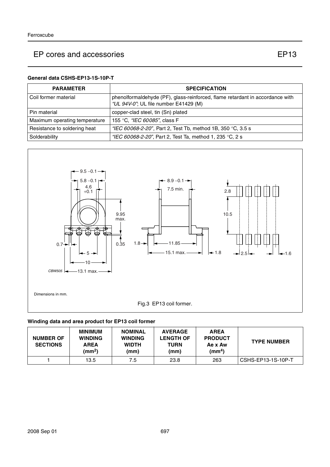#### **General data CSHS-EP13-1S-10P-T**

| <b>PARAMETER</b>              | <b>SPECIFICATION</b>                                                                                                   |
|-------------------------------|------------------------------------------------------------------------------------------------------------------------|
| l Coil former material        | phenolformaldehyde (PF), glass-reinforced, flame retardant in accordance with<br>"UL 94V-0"; UL file number E41429 (M) |
| l Pin material                | copper-clad steel, tin (Sn) plated                                                                                     |
| Maximum operating temperature | 155 °C, <i>"IEC 60085"</i> , class F                                                                                   |
| Resistance to soldering heat  | "IEC 60068-2-20", Part 2, Test Tb, method 1B, 350 °C, 3.5 s                                                            |
| Solderability                 | "IEC 60068-2-20", Part 2, Test Ta, method 1, 235 °C, 2 s                                                               |



### **Winding data and area product for EP13 coil former**

| <b>NUMBER OF</b><br><b>SECTIONS</b> | <b>MINIMUM</b><br><b>WINDING</b><br><b>AREA</b><br>(mm <sup>2</sup> ) | <b>NOMINAL</b><br><b>WINDING</b><br><b>WIDTH</b><br>(mm) | <b>AVERAGE</b><br><b>LENGTH OF</b><br><b>TURN</b><br>(mm) | <b>AREA</b><br><b>PRODUCT</b><br>Ae x Aw<br>$\text{(mm}^4)$ | <b>TYPE NUMBER</b> |
|-------------------------------------|-----------------------------------------------------------------------|----------------------------------------------------------|-----------------------------------------------------------|-------------------------------------------------------------|--------------------|
|                                     | 13.5                                                                  | 7.5                                                      | 23.8                                                      | 263                                                         | CSHS-EP13-1S-10P-T |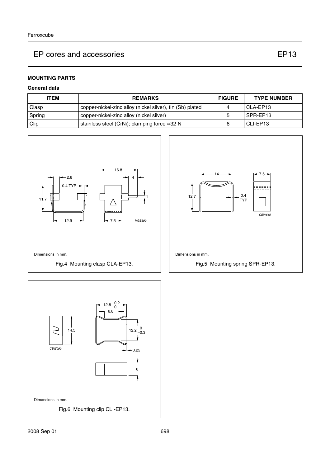#### **MOUNTING PARTS**

#### **General data**

| <b>ITEM</b> | <b>REMARKS</b>                                            | <b>FIGURE</b> | <b>TYPE NUMBER</b> |
|-------------|-----------------------------------------------------------|---------------|--------------------|
| Clasp       | copper-nickel-zinc alloy (nickel silver), tin (Sb) plated |               | I CLA-EP13         |
| Spring      | copper-nickel-zinc alloy (nickel silver)                  |               | I SPR-EP13         |
| Clip        | stainless steel (CrNi); clamping force $\approx$ 32 N     |               | I CLI-EP13         |